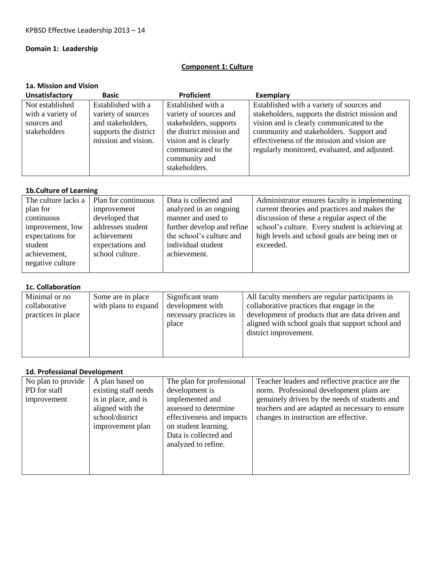# **Domain 1: Leadership**

### **Component 1: Culture**

### **1a. Mission and Vision**

| Unsatisfactory    | <b>Basic</b>          | <b>Proficient</b>        | <b>Exemplary</b>                                |
|-------------------|-----------------------|--------------------------|-------------------------------------------------|
| Not established   | Established with a    | Established with a       | Established with a variety of sources and       |
| with a variety of | variety of sources    | variety of sources and   | stakeholders, supports the district mission and |
| sources and       | and stakeholders,     | stakeholders, supports   | vision and is clearly communicated to the       |
| stakeholders      | supports the district | the district mission and | community and stakeholders. Support and         |
|                   | mission and vision.   | vision and is clearly    | effectiveness of the mission and vision are     |
|                   |                       | communicated to the      | regularly monitored, evaluated, and adjusted.   |
|                   |                       | community and            |                                                 |
|                   |                       | stakeholders.            |                                                 |
|                   |                       |                          |                                                 |

### **1b.Culture of Learning**

| The culture lacks a | Plan for continuous | Data is collected and      | Administrator ensures faculty is implementing   |
|---------------------|---------------------|----------------------------|-------------------------------------------------|
| plan for            | improvement         | analyzed in an ongoing     | current theories and practices and makes the    |
| continuous          | developed that      | manner and used to         | discussion of these a regular aspect of the     |
| improvement, low    | addresses student   | further develop and refine | school's culture. Every student is achieving at |
| expectations for    | achievement         | the school's culture and   | high levels and school goals are being met or   |
| student             | expectations and    | individual student         | exceeded.                                       |
| achievement.        | school culture.     | achievement.               |                                                 |
|                     |                     |                            |                                                 |
| negative culture    |                     |                            |                                                 |

#### **1c. Collaboration**

| Minimal or no      | Some are in place    | Significant team       | All faculty members are regular participants in   |
|--------------------|----------------------|------------------------|---------------------------------------------------|
| collaborative      | with plans to expand | development with       | collaborative practices that engage in the        |
| practices in place |                      | necessary practices in | development of products that are data driven and  |
|                    |                      | place                  | aligned with school goals that support school and |
|                    |                      |                        | district improvement.                             |
|                    |                      |                        |                                                   |
|                    |                      |                        |                                                   |

### **1d. Professional Development**

| No plan to provide<br>PD for staff<br>improvement | A plan based on<br>existing staff needs<br>is in place, and is<br>aligned with the<br>school/district<br>improvement plan | The plan for professional<br>development is<br>implemented and<br>assessed to determine<br>effectiveness and impacts<br>on student learning.<br>Data is collected and<br>analyzed to refine. | Teacher leaders and reflective practice are the<br>norm. Professional development plans are<br>genuinely driven by the needs of students and<br>teachers and are adapted as necessary to ensure<br>changes in instruction are effective. |
|---------------------------------------------------|---------------------------------------------------------------------------------------------------------------------------|----------------------------------------------------------------------------------------------------------------------------------------------------------------------------------------------|------------------------------------------------------------------------------------------------------------------------------------------------------------------------------------------------------------------------------------------|
|---------------------------------------------------|---------------------------------------------------------------------------------------------------------------------------|----------------------------------------------------------------------------------------------------------------------------------------------------------------------------------------------|------------------------------------------------------------------------------------------------------------------------------------------------------------------------------------------------------------------------------------------|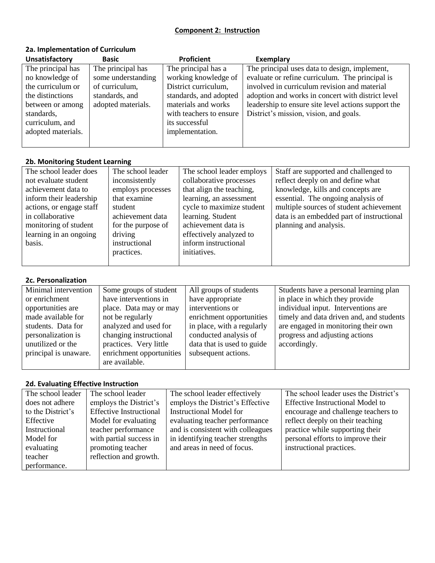### **Component 2: Instruction**

# **2a. Implementation of Curriculum**

| <b>Unsatisfactory</b> | <b>Basic</b>       | <b>Proficient</b>       | Exemplary                                           |
|-----------------------|--------------------|-------------------------|-----------------------------------------------------|
| The principal has     | The principal has  | The principal has a     | The principal uses data to design, implement,       |
| no knowledge of       | some understanding | working knowledge of    | evaluate or refine curriculum. The principal is     |
| the curriculum or     | of curriculum,     | District curriculum,    | involved in curriculum revision and material        |
| the distinctions      | standards, and     | standards, and adopted  | adoption and works in concert with district level   |
| between or among      | adopted materials. | materials and works     | leadership to ensure site level actions support the |
| standards,            |                    | with teachers to ensure | District's mission, vision, and goals.              |
| curriculum, and       |                    | its successful          |                                                     |
| adopted materials.    |                    | implementation.         |                                                     |
|                       |                    |                         |                                                     |

# **2b. Monitoring Student Learning**

| The school leader does   | The school leader  | The school leader employs | Staff are supported and challenged to     |
|--------------------------|--------------------|---------------------------|-------------------------------------------|
| not evaluate student     | inconsistently     | collaborative processes   | reflect deeply on and define what         |
| achievement data to      | employs processes  | that align the teaching,  | knowledge, kills and concepts are         |
| inform their leadership  | that examine       | learning, an assessment   | essential. The ongoing analysis of        |
| actions, or engage staff | student            | cycle to maximize student | multiple sources of student achievement   |
| in collaborative         | achievement data   | learning. Student         | data is an embedded part of instructional |
| monitoring of student    | for the purpose of | achievement data is       | planning and analysis.                    |
| learning in an ongoing   | driving            | effectively analyzed to   |                                           |
| basis.                   | instructional      | inform instructional      |                                           |
|                          | practices.         | initiatives.              |                                           |
|                          |                    |                           |                                           |

### **2c. Personalization**

| Minimal intervention  | Some groups of student   | All groups of students     | Students have a personal learning plan   |
|-----------------------|--------------------------|----------------------------|------------------------------------------|
| or enrichment         | have interventions in    | have appropriate           | in place in which they provide           |
| opportunities are     | place. Data may or may   | interventions or           | individual input. Interventions are      |
| made available for    | not be regularly         | enrichment opportunities   | timely and data driven and, and students |
| students. Data for    | analyzed and used for    | in place, with a regularly | are engaged in monitoring their own      |
| personalization is    | changing instructional   | conducted analysis of      | progress and adjusting actions           |
| unutilized or the     | practices. Very little   | data that is used to guide | accordingly.                             |
| principal is unaware. | enrichment opportunities | subsequent actions.        |                                          |
|                       | are available.           |                            |                                          |

# **2d. Evaluating Effective Instruction**

| The school leader | The school leader              | The school leader effectively     | The school leader uses the District's   |
|-------------------|--------------------------------|-----------------------------------|-----------------------------------------|
| does not adhere   | employs the District's         | employs the District's Effective  | <b>Effective Instructional Model to</b> |
| to the District's | <b>Effective Instructional</b> | <b>Instructional Model for</b>    | encourage and challenge teachers to     |
| Effective         | Model for evaluating           | evaluating teacher performance    | reflect deeply on their teaching        |
| Instructional     | teacher performance            | and is consistent with colleagues | practice while supporting their         |
| Model for         | with partial success in        | in identifying teacher strengths  | personal efforts to improve their       |
| evaluating        | promoting teacher              | and areas in need of focus.       | instructional practices.                |
| teacher           | reflection and growth.         |                                   |                                         |
| performance.      |                                |                                   |                                         |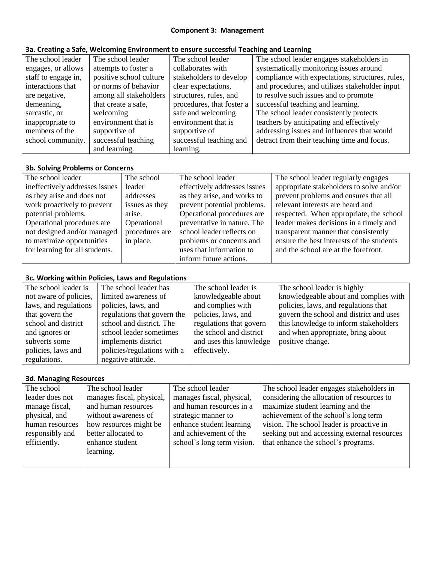### **Component 3: Management**

# **3a. Creating a Safe, Welcoming Environment to ensure successful Teaching and Learning**

| The school leader   | The school leader       | The school leader         | The school leader engages stakeholders in        |
|---------------------|-------------------------|---------------------------|--------------------------------------------------|
| engages, or allows  | attempts to foster a    | collaborates with         | systematically monitoring issues around          |
| staff to engage in, | positive school culture | stakeholders to develop   | compliance with expectations, structures, rules, |
| interactions that   | or norms of behavior    | clear expectations,       | and procedures, and utilizes stakeholder input   |
| are negative,       | among all stakeholders  | structures, rules, and    | to resolve such issues and to promote            |
| demeaning,          | that create a safe,     | procedures, that foster a | successful teaching and learning.                |
| sarcastic, or       | welcoming               | safe and welcoming        | The school leader consistently protects          |
| inappropriate to    | environment that is     | environment that is       | teachers by anticipating and effectively         |
| members of the      | supportive of           | supportive of             | addressing issues and influences that would      |
| school community.   | successful teaching     | successful teaching and   | detract from their teaching time and focus.      |
|                     | and learning.           | learning.                 |                                                  |

### **3b. Solving Problems or Concerns**

| The school leader              | The school     | The school leader            | The school leader regularly engages       |
|--------------------------------|----------------|------------------------------|-------------------------------------------|
| ineffectively addresses issues | leader         | effectively addresses issues | appropriate stakeholders to solve and/or  |
| as they arise and does not     | addresses      | as they arise, and works to  | prevent problems and ensures that all     |
| work proactively to prevent    | issues as they | prevent potential problems.  | relevant interests are heard and          |
| potential problems.            | arise.         | Operational procedures are   | respected. When appropriate, the school   |
| Operational procedures are     | Operational    | preventative in nature. The  | leader makes decisions in a timely and    |
| not designed and/or managed    | procedures are | school leader reflects on    | transparent manner that consistently      |
| to maximize opportunities      | in place.      | problems or concerns and     | ensure the best interests of the students |
| for learning for all students. |                | uses that information to     | and the school are at the forefront.      |
|                                |                | inform future actions.       |                                           |

# **3c. Working within Policies, Laws and Regulations**

| The school leader is   | The school leader has       | The school leader is    | The school leader is highly             |
|------------------------|-----------------------------|-------------------------|-----------------------------------------|
| not aware of policies, | limited awareness of        | knowledgeable about     | knowledgeable about and complies with   |
| laws, and regulations  | policies, laws, and         | and complies with       | policies, laws, and regulations that    |
| that govern the        | regulations that govern the | policies, laws, and     | govern the school and district and uses |
| school and district    | school and district. The    | regulations that govern | this knowledge to inform stakeholders   |
| and ignores or         | school leader sometimes     | the school and district | and when appropriate, bring about       |
| subverts some          | implements district         | and uses this knowledge | positive change.                        |
| policies, laws and     | policies/regulations with a | effectively.            |                                         |
| regulations.           | negative attitude.          |                         |                                         |

### **3d. Managing Resources**

| The school      | The school leader         | The school leader          | The school leader engages stakeholders in    |
|-----------------|---------------------------|----------------------------|----------------------------------------------|
| leader does not | manages fiscal, physical, | manages fiscal, physical,  | considering the allocation of resources to   |
| manage fiscal,  | and human resources       | and human resources in a   | maximize student learning and the            |
| physical, and   | without awareness of      | strategic manner to        | achievement of the school's long term        |
| human resources | how resources might be    | enhance student learning   | vision. The school leader is proactive in    |
| responsibly and | better allocated to       | and achievement of the     | seeking out and accessing external resources |
| efficiently.    | enhance student           | school's long term vision. | that enhance the school's programs.          |
|                 | learning.                 |                            |                                              |
|                 |                           |                            |                                              |
|                 |                           |                            |                                              |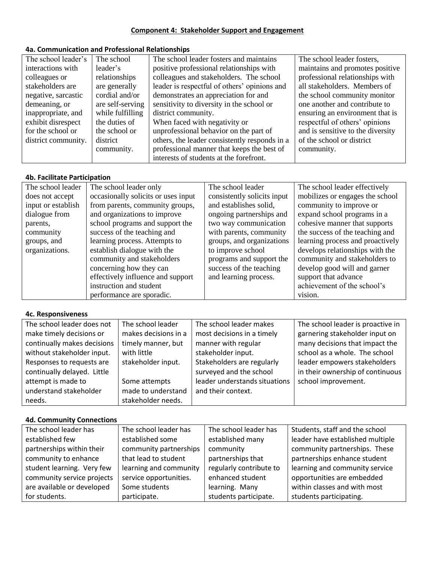#### **Component 4: Stakeholder Support and Engagement**

# **4a. Communication and Professional Relationships**

| The school leader's | The school       | The school leader fosters and maintains       | The school leader fosters,        |
|---------------------|------------------|-----------------------------------------------|-----------------------------------|
| interactions with   | leader's         | positive professional relationships with      | maintains and promotes positive   |
| colleagues or       | relationships    | colleagues and stakeholders. The school       | professional relationships with   |
| stakeholders are    | are generally    | leader is respectful of others' opinions and  | all stakeholders. Members of      |
| negative, sarcastic | cordial and/or   | demonstrates an appreciation for and          | the school community monitor      |
| demeaning, or       | are self-serving | sensitivity to diversity in the school or     | one another and contribute to     |
| inappropriate, and  | while fulfilling | district community.                           | ensuring an environment that is   |
| exhibit disrespect  | the duties of    | When faced with negativity or                 | respectful of others' opinions    |
| for the school or   | the school or    | unprofessional behavior on the part of        | and is sensitive to the diversity |
| district community. | district         | others, the leader consistently responds in a | of the school or district         |
|                     | community.       | professional manner that keeps the best of    | community.                        |
|                     |                  | interests of students at the forefront.       |                                   |

# **4b. Facilitate Participation**

| The school leader  | The school leader only              | The school leader           | The school leader effectively    |
|--------------------|-------------------------------------|-----------------------------|----------------------------------|
| does not accept    | occasionally solicits or uses input | consistently solicits input | mobilizes or engages the school  |
| input or establish | from parents, community groups,     | and establishes solid,      | community to improve or          |
| dialogue from      | and organizations to improve        | ongoing partnerships and    | expand school programs in a      |
| parents,           | school programs and support the     | two way communication       | cohesive manner that supports    |
| community          | success of the teaching and         | with parents, community     | the success of the teaching and  |
| groups, and        | learning process. Attempts to       | groups, and organizations   | learning process and proactively |
| organizations.     | establish dialogue with the         | to improve school           | develops relationships with the  |
|                    | community and stakeholders          | programs and support the    | community and stakeholders to    |
|                    | concerning how they can             | success of the teaching     | develop good will and garner     |
|                    | effectively influence and support   | and learning process.       | support that advance             |
|                    | instruction and student             |                             | achievement of the school's      |
|                    | performance are sporadic.           |                             | vision.                          |

#### **4c. Responsiveness**

| The school leader does not  | The school leader    | The school leader makes       | The school leader is proactive in |
|-----------------------------|----------------------|-------------------------------|-----------------------------------|
| make timely decisions or    | makes decisions in a | most decisions in a timely    | garnering stakeholder input on    |
| continually makes decisions | timely manner, but   | manner with regular           | many decisions that impact the    |
| without stakeholder input.  | with little          | stakeholder input.            | school as a whole. The school     |
| Responses to requests are   | stakeholder input.   | Stakeholders are regularly    | leader empowers stakeholders      |
| continually delayed. Little |                      | surveyed and the school       | in their ownership of continuous  |
| attempt is made to          | Some attempts        | leader understands situations | school improvement.               |
| understand stakeholder      | made to understand   | and their context.            |                                   |
| needs.                      | stakeholder needs.   |                               |                                   |

# **4d. Community Connections**

| The school leader has      | The school leader has  | The school leader has   | Students, staff and the school   |
|----------------------------|------------------------|-------------------------|----------------------------------|
| established few            | established some       | established many        | leader have established multiple |
| partnerships within their  | community partnerships | community               | community partnerships. These    |
| community to enhance       | that lead to student   | partnerships that       | partnerships enhance student     |
| student learning. Very few | learning and community | regularly contribute to | learning and community service   |
| community service projects | service opportunities. | enhanced student        | opportunities are embedded       |
| are available or developed | Some students          | learning. Many          | within classes and with most     |
| for students.              | participate.           | students participate.   | students participating.          |